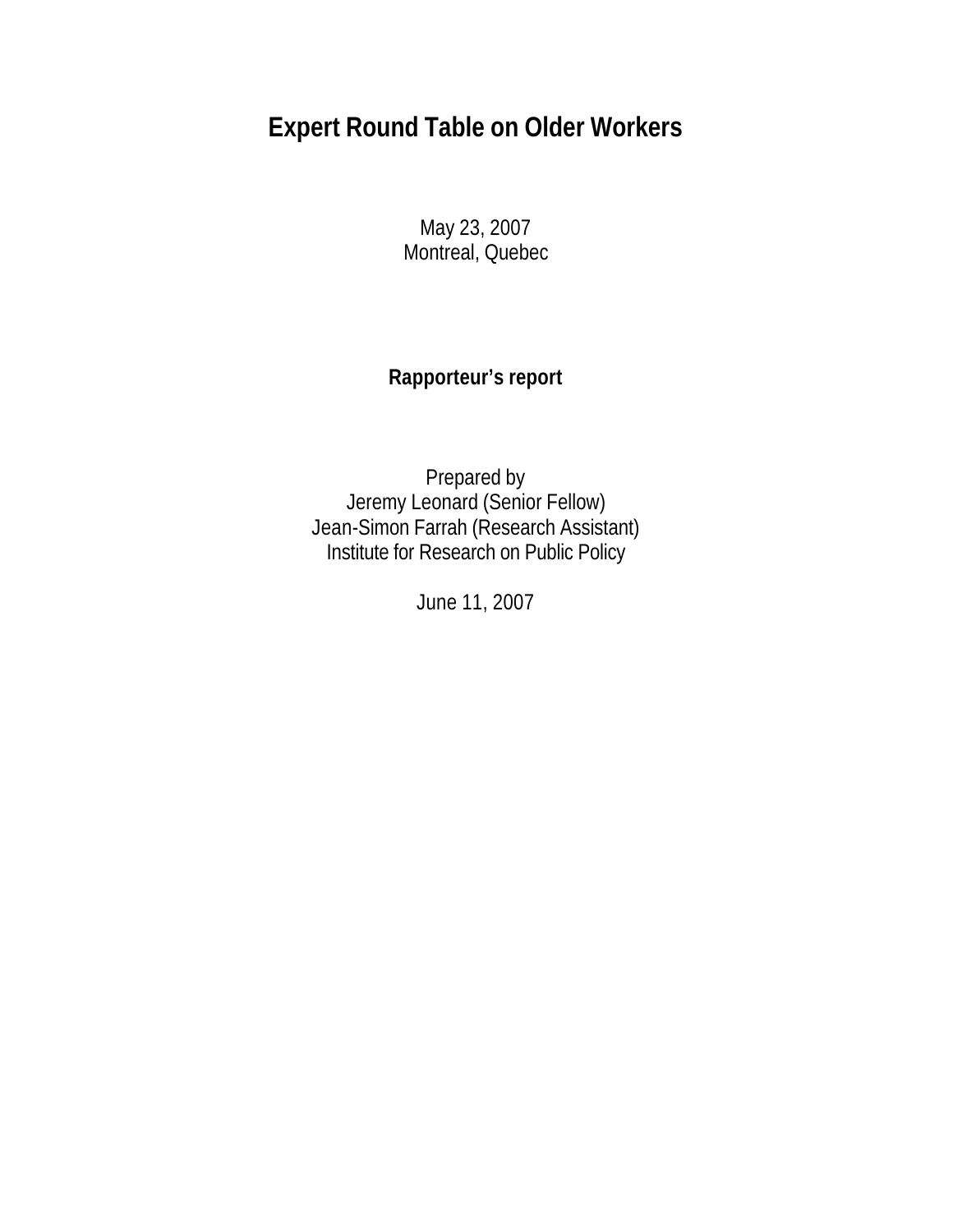# **Expert Round Table on Older Workers**

May 23, 2007 Montreal, Quebec

## **Rapporteur's report**

Prepared by Jeremy Leonard (Senior Fellow) Jean-Simon Farrah (Research Assistant) Institute for Research on Public Policy

June 11, 2007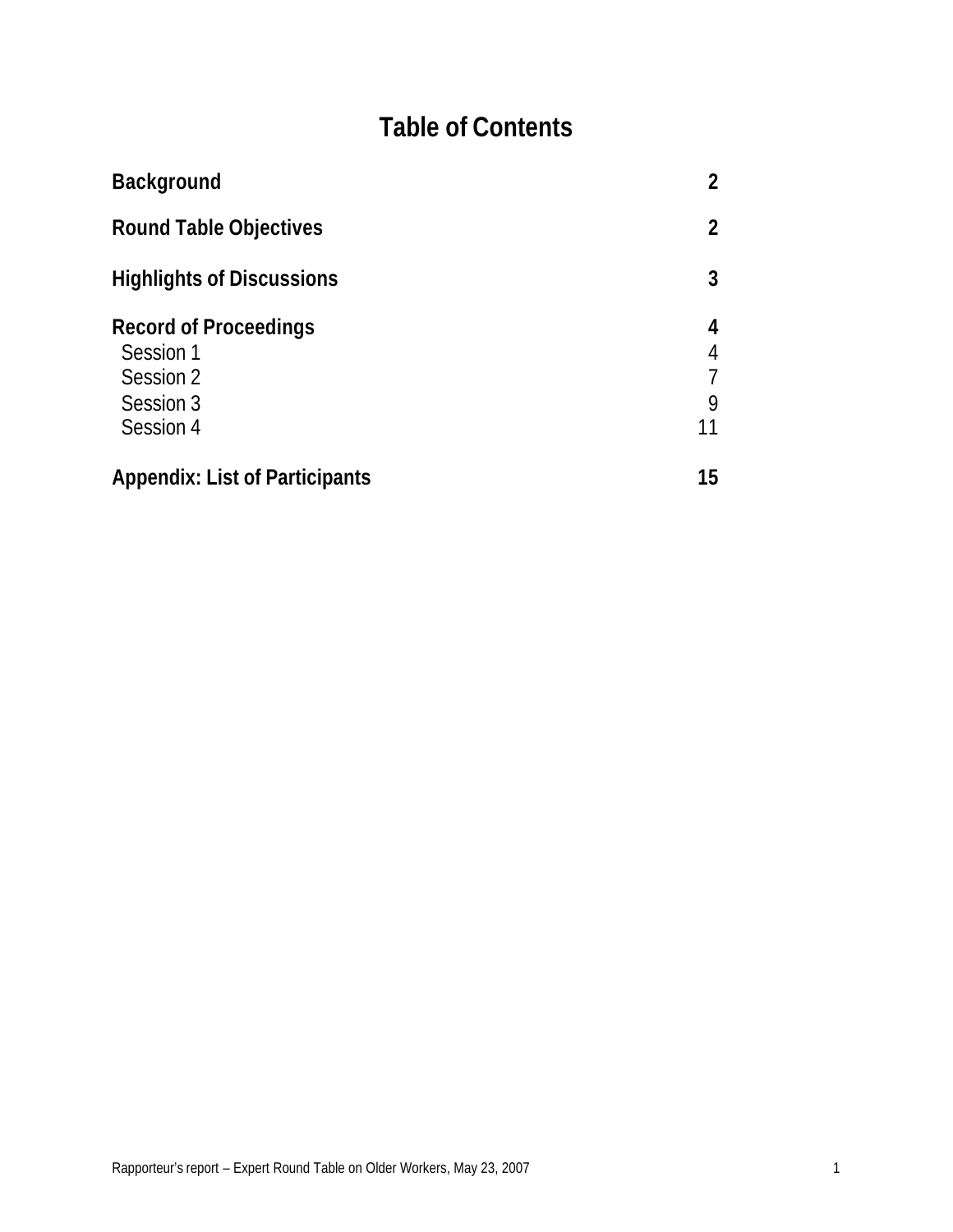# **Table of Contents**

| <b>Background</b>                                                                | $\overline{2}$         |  |
|----------------------------------------------------------------------------------|------------------------|--|
| <b>Round Table Objectives</b>                                                    |                        |  |
| <b>Highlights of Discussions</b>                                                 | 3                      |  |
| <b>Record of Proceedings</b><br>Session 1<br>Session 2<br>Session 3<br>Session 4 | 4<br>4<br>7<br>9<br>11 |  |
| <b>Appendix: List of Participants</b>                                            | 15                     |  |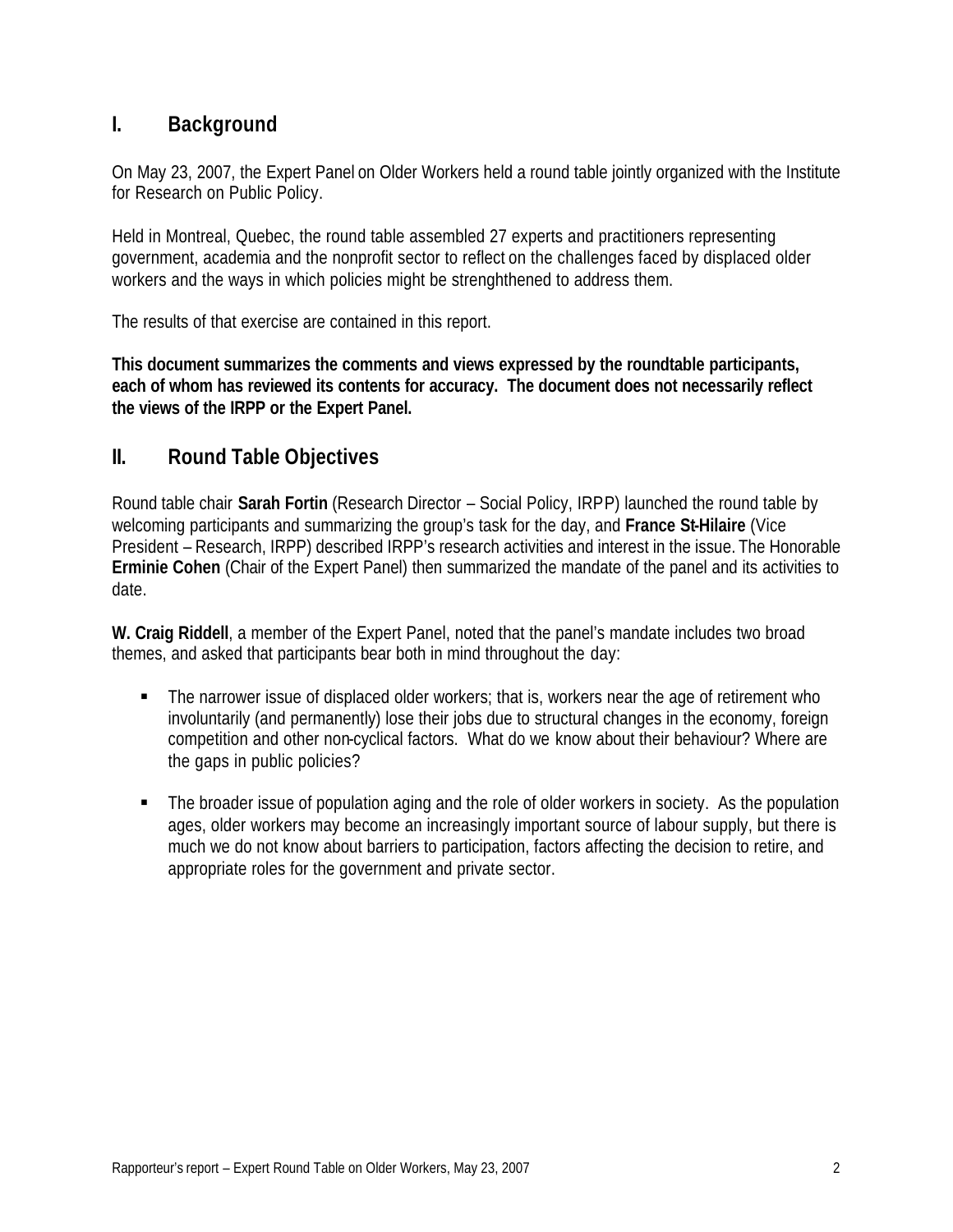## **I. Background**

On May 23, 2007, the Expert Panel on Older Workers held a round table jointly organized with the Institute for Research on Public Policy.

Held in Montreal, Quebec, the round table assembled 27 experts and practitioners representing government, academia and the nonprofit sector to reflect on the challenges faced by displaced older workers and the ways in which policies might be strenghthened to address them.

The results of that exercise are contained in this report.

**This document summarizes the comments and views expressed by the roundtable participants, each of whom has reviewed its contents for accuracy. The document does not necessarily reflect the views of the IRPP or the Expert Panel.**

## **II. Round Table Objectives**

Round table chair **Sarah Fortin** (Research Director – Social Policy, IRPP) launched the round table by welcoming participants and summarizing the group's task for the day, and **France St-Hilaire** (Vice President – Research, IRPP) described IRPP's research activities and interest in the issue. The Honorable **Erminie Cohen** (Chair of the Expert Panel) then summarized the mandate of the panel and its activities to date.

**W. Craig Riddell**, a member of the Expert Panel, noted that the panel's mandate includes two broad themes, and asked that participants bear both in mind throughout the day:

- The narrower issue of displaced older workers; that is, workers near the age of retirement who involuntarily (and permanently) lose their jobs due to structural changes in the economy, foreign competition and other non-cyclical factors. What do we know about their behaviour? Where are the gaps in public policies?
- The broader issue of population aging and the role of older workers in society. As the population ages, older workers may become an increasingly important source of labour supply, but there is much we do not know about barriers to participation, factors affecting the decision to retire, and appropriate roles for the government and private sector.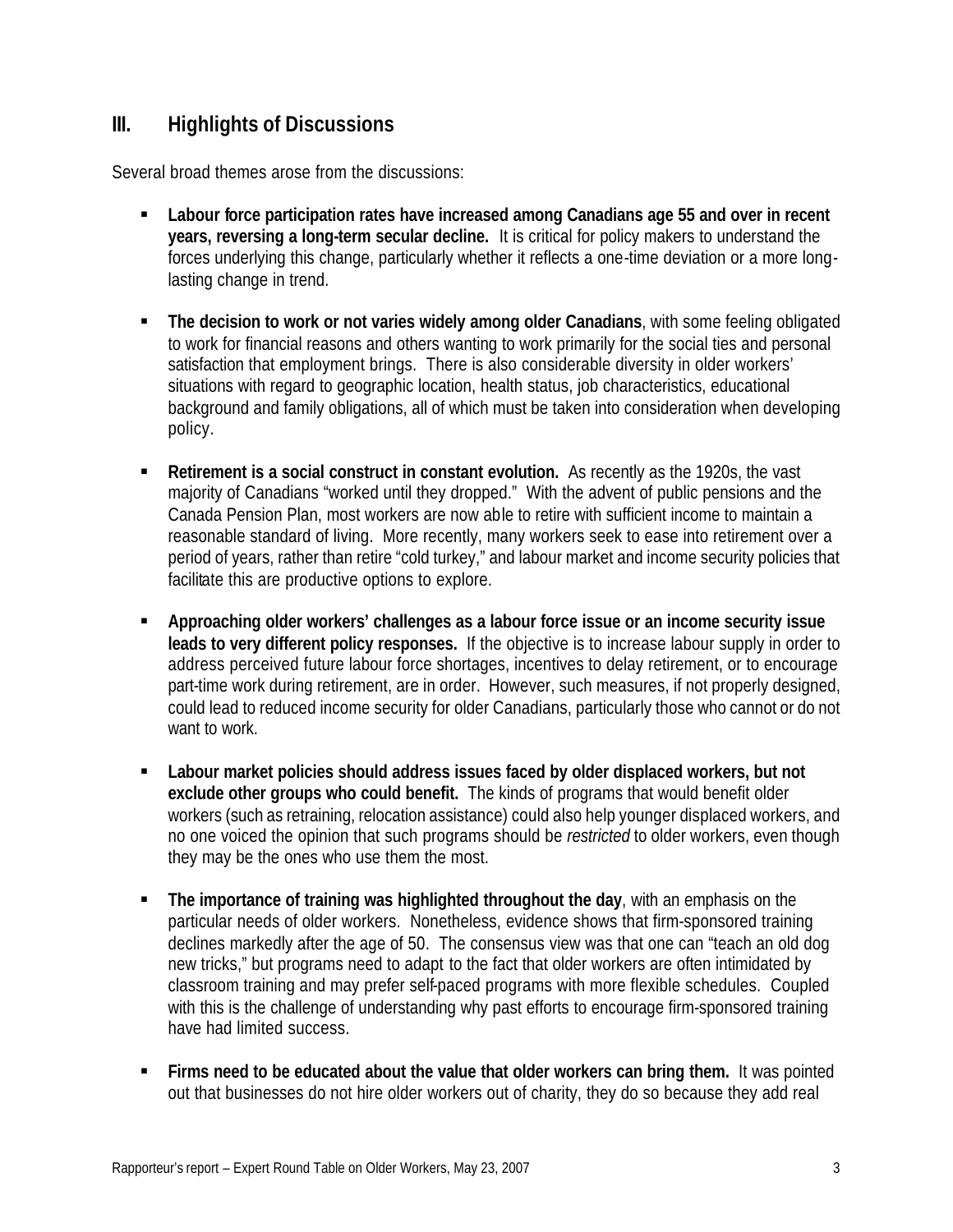## **III. Highlights of Discussions**

Several broad themes arose from the discussions:

- **Example 1** Labour force participation rates have increased among Canadians age 55 and over in recent **years, reversing a long-term secular decline.** It is critical for policy makers to understand the forces underlying this change, particularly whether it reflects a one-time deviation or a more longlasting change in trend.
- **The decision to work or not varies widely among older Canadians**, with some feeling obligated to work for financial reasons and others wanting to work primarily for the social ties and personal satisfaction that employment brings. There is also considerable diversity in older workers' situations with regard to geographic location, health status, job characteristics, educational background and family obligations, all of which must be taken into consideration when developing policy.
- **Retirement is a social construct in constant evolution.** As recently as the 1920s, the vast majority of Canadians "worked until they dropped." With the advent of public pensions and the Canada Pension Plan, most workers are now able to retire with sufficient income to maintain a reasonable standard of living. More recently, many workers seek to ease into retirement over a period of years, rather than retire "cold turkey," and labour market and income security policies that facilitate this are productive options to explore.
- **Approaching older workers' challenges as a labour force issue or an income security issue leads to very different policy responses.** If the objective is to increase labour supply in order to address perceived future labour force shortages, incentives to delay retirement, or to encourage part-time work during retirement, are in order. However, such measures, if not properly designed, could lead to reduced income security for older Canadians, particularly those who cannot or do not want to work.
- **EXECT:** Labour market policies should address issues faced by older displaced workers, but not **exclude other groups who could benefit.** The kinds of programs that would benefit older workers (such as retraining, relocation assistance) could also help younger displaced workers, and no one voiced the opinion that such programs should be *restricted* to older workers, even though they may be the ones who use them the most.
- **The importance of training was highlighted throughout the day**, with an emphasis on the particular needs of older workers. Nonetheless, evidence shows that firm-sponsored training declines markedly after the age of 50. The consensus view was that one can "teach an old dog new tricks," but programs need to adapt to the fact that older workers are often intimidated by classroom training and may prefer self-paced programs with more flexible schedules. Coupled with this is the challenge of understanding why past efforts to encourage firm-sponsored training have had limited success.
- **Firms need to be educated about the value that older workers can bring them.** It was pointed out that businesses do not hire older workers out of charity, they do so because they add real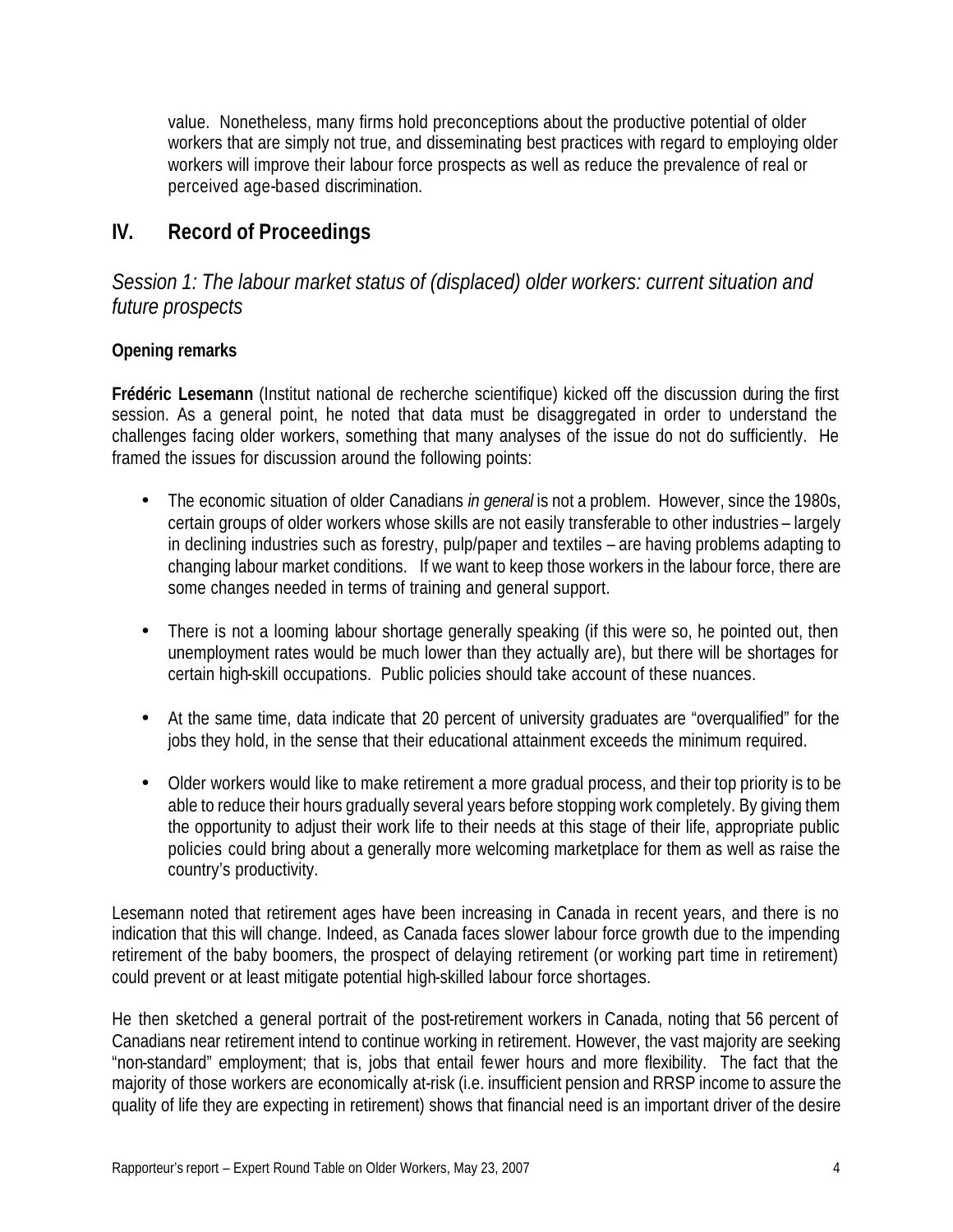value. Nonetheless, many firms hold preconceptions about the productive potential of older workers that are simply not true, and disseminating best practices with regard to employing older workers will improve their labour force prospects as well as reduce the prevalence of real or perceived age-based discrimination.

## **IV. Record of Proceedings**

*Session 1: The labour market status of (displaced) older workers: current situation and future prospects*

#### **Opening remarks**

**Frédéric Lesemann** (Institut national de recherche scientifique) kicked off the discussion during the first session. As a general point, he noted that data must be disaggregated in order to understand the challenges facing older workers, something that many analyses of the issue do not do sufficiently. He framed the issues for discussion around the following points:

- The economic situation of older Canadians *in general* is not a problem. However, since the 1980s, certain groups of older workers whose skills are not easily transferable to other industries – largely in declining industries such as forestry, pulp/paper and textiles – are having problems adapting to changing labour market conditions. If we want to keep those workers in the labour force, there are some changes needed in terms of training and general support.
- There is not a looming labour shortage generally speaking (if this were so, he pointed out, then unemployment rates would be much lower than they actually are), but there will be shortages for certain high-skill occupations. Public policies should take account of these nuances.
- At the same time, data indicate that 20 percent of university graduates are "overqualified" for the jobs they hold, in the sense that their educational attainment exceeds the minimum required.
- Older workers would like to make retirement a more gradual process, and their top priority is to be able to reduce their hours gradually several years before stopping work completely. By giving them the opportunity to adjust their work life to their needs at this stage of their life, appropriate public policies could bring about a generally more welcoming marketplace for them as well as raise the country's productivity.

Lesemann noted that retirement ages have been increasing in Canada in recent years, and there is no indication that this will change. Indeed, as Canada faces slower labour force growth due to the impending retirement of the baby boomers, the prospect of delaying retirement (or working part time in retirement) could prevent or at least mitigate potential high-skilled labour force shortages.

He then sketched a general portrait of the post-retirement workers in Canada, noting that 56 percent of Canadians near retirement intend to continue working in retirement. However, the vast majority are seeking "non-standard" employment; that is, jobs that entail fewer hours and more flexibility. The fact that the majority of those workers are economically at-risk (i.e. insufficient pension and RRSP income to assure the quality of life they are expecting in retirement) shows that financial need is an important driver of the desire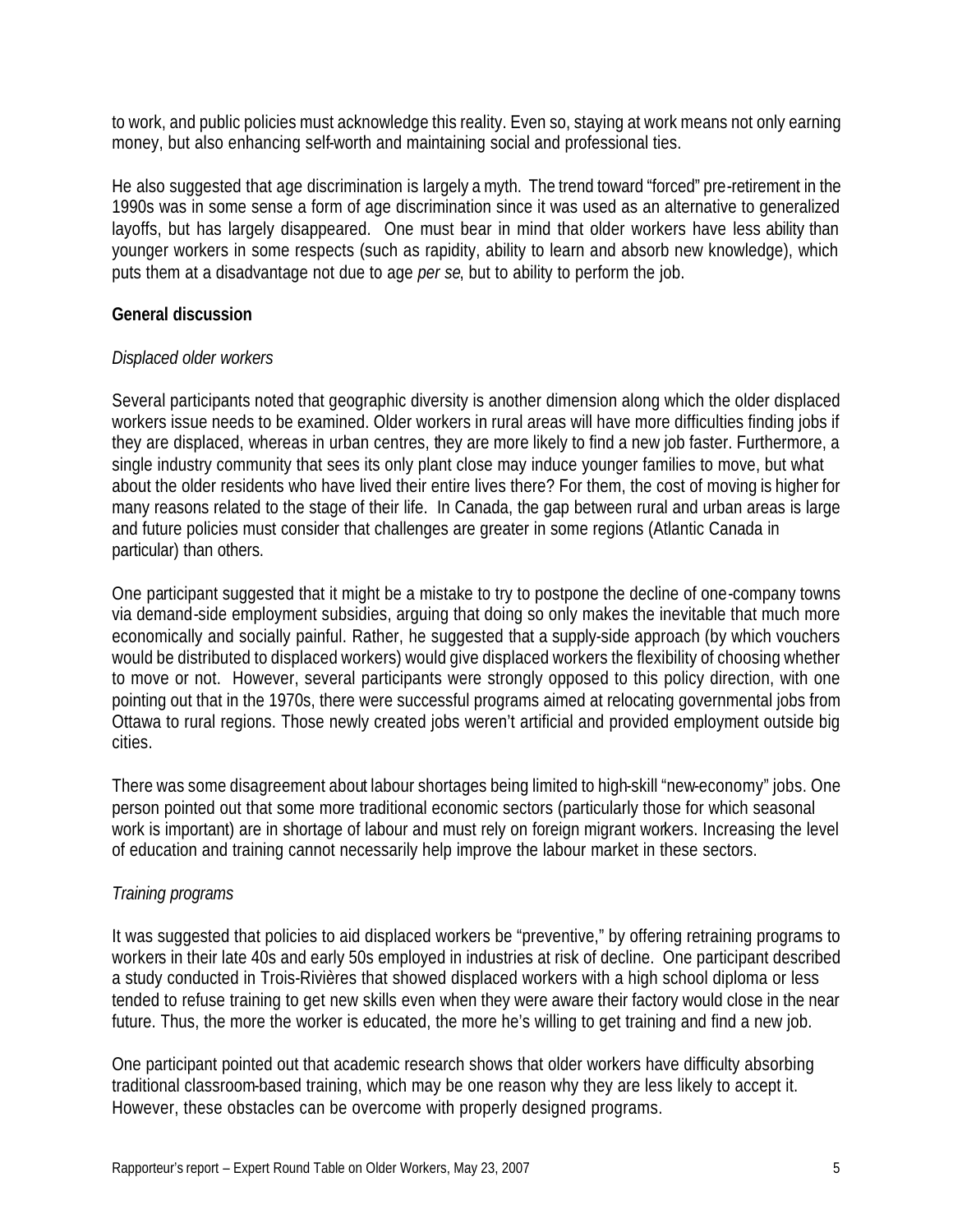to work, and public policies must acknowledge this reality. Even so, staying at work means not only earning money, but also enhancing self-worth and maintaining social and professional ties.

He also suggested that age discrimination is largely a myth. The trend toward "forced" pre-retirement in the 1990s was in some sense a form of age discrimination since it was used as an alternative to generalized layoffs, but has largely disappeared. One must bear in mind that older workers have less ability than younger workers in some respects (such as rapidity, ability to learn and absorb new knowledge), which puts them at a disadvantage not due to age *per se*, but to ability to perform the job.

#### **General discussion**

#### *Displaced older workers*

Several participants noted that geographic diversity is another dimension along which the older displaced workers issue needs to be examined. Older workers in rural areas will have more difficulties finding jobs if they are displaced, whereas in urban centres, they are more likely to find a new job faster. Furthermore, a single industry community that sees its only plant close may induce younger families to move, but what about the older residents who have lived their entire lives there? For them, the cost of moving is higher for many reasons related to the stage of their life. In Canada, the gap between rural and urban areas is large and future policies must consider that challenges are greater in some regions (Atlantic Canada in particular) than others.

One participant suggested that it might be a mistake to try to postpone the decline of one-company towns via demand-side employment subsidies, arguing that doing so only makes the inevitable that much more economically and socially painful. Rather, he suggested that a supply-side approach (by which vouchers would be distributed to displaced workers) would give displaced workers the flexibility of choosing whether to move or not. However, several participants were strongly opposed to this policy direction, with one pointing out that in the 1970s, there were successful programs aimed at relocating governmental jobs from Ottawa to rural regions. Those newly created jobs weren't artificial and provided employment outside big cities.

There was some disagreement about labour shortages being limited to high-skill "new-economy" jobs. One person pointed out that some more traditional economic sectors (particularly those for which seasonal work is important) are in shortage of labour and must rely on foreign migrant workers. Increasing the level of education and training cannot necessarily help improve the labour market in these sectors.

#### *Training programs*

It was suggested that policies to aid displaced workers be "preventive," by offering retraining programs to workers in their late 40s and early 50s employed in industries at risk of decline. One participant described a study conducted in Trois-Rivières that showed displaced workers with a high school diploma or less tended to refuse training to get new skills even when they were aware their factory would close in the near future. Thus, the more the worker is educated, the more he's willing to get training and find a new job.

One participant pointed out that academic research shows that older workers have difficulty absorbing traditional classroom-based training, which may be one reason why they are less likely to accept it. However, these obstacles can be overcome with properly designed programs.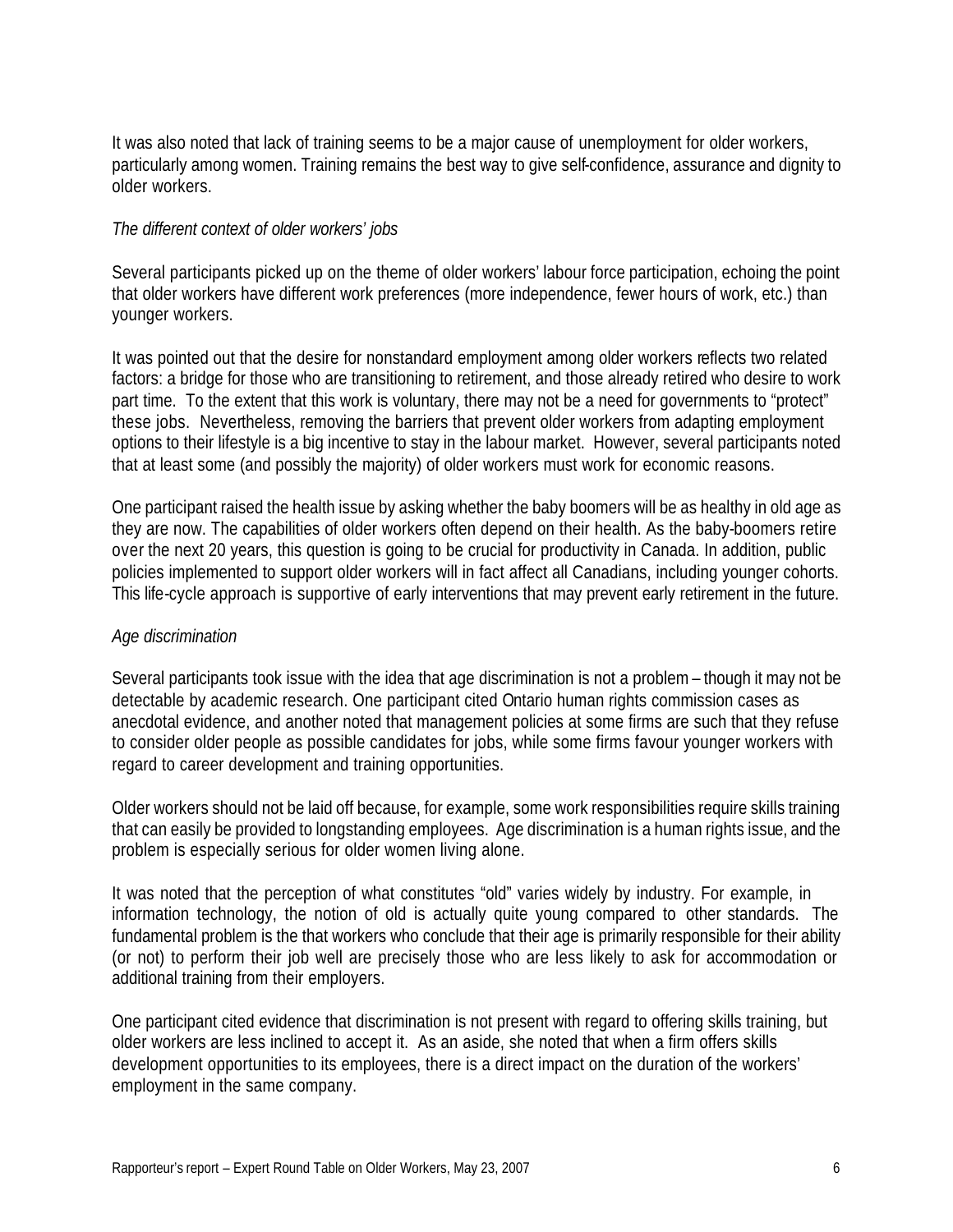It was also noted that lack of training seems to be a major cause of unemployment for older workers, particularly among women. Training remains the best way to give self-confidence, assurance and dignity to older workers.

#### *The different context of older workers' jobs*

Several participants picked up on the theme of older workers' labour force participation, echoing the point that older workers have different work preferences (more independence, fewer hours of work, etc.) than younger workers.

It was pointed out that the desire for nonstandard employment among older workers reflects two related factors: a bridge for those who are transitioning to retirement, and those already retired who desire to work part time. To the extent that this work is voluntary, there may not be a need for governments to "protect" these jobs. Nevertheless, removing the barriers that prevent older workers from adapting employment options to their lifestyle is a big incentive to stay in the labour market. However, several participants noted that at least some (and possibly the majority) of older workers must work for economic reasons.

One participant raised the health issue by asking whether the baby boomers will be as healthy in old age as they are now. The capabilities of older workers often depend on their health. As the baby-boomers retire over the next 20 years, this question is going to be crucial for productivity in Canada. In addition, public policies implemented to support older workers will in fact affect all Canadians, including younger cohorts. This life-cycle approach is supportive of early interventions that may prevent early retirement in the future.

#### *Age discrimination*

Several participants took issue with the idea that age discrimination is not a problem – though it may not be detectable by academic research. One participant cited Ontario human rights commission cases as anecdotal evidence, and another noted that management policies at some firms are such that they refuse to consider older people as possible candidates for jobs, while some firms favour younger workers with regard to career development and training opportunities.

Older workers should not be laid off because, for example, some work responsibilities require skills training that can easily be provided to longstanding employees. Age discrimination is a human rights issue, and the problem is especially serious for older women living alone.

It was noted that the perception of what constitutes "old" varies widely by industry. For example, in information technology, the notion of old is actually quite young compared to other standards. The fundamental problem is the that workers who conclude that their age is primarily responsible for their ability (or not) to perform their job well are precisely those who are less likely to ask for accommodation or additional training from their employers.

One participant cited evidence that discrimination is not present with regard to offering skills training, but older workers are less inclined to accept it. As an aside, she noted that when a firm offers skills development opportunities to its employees, there is a direct impact on the duration of the workers' employment in the same company.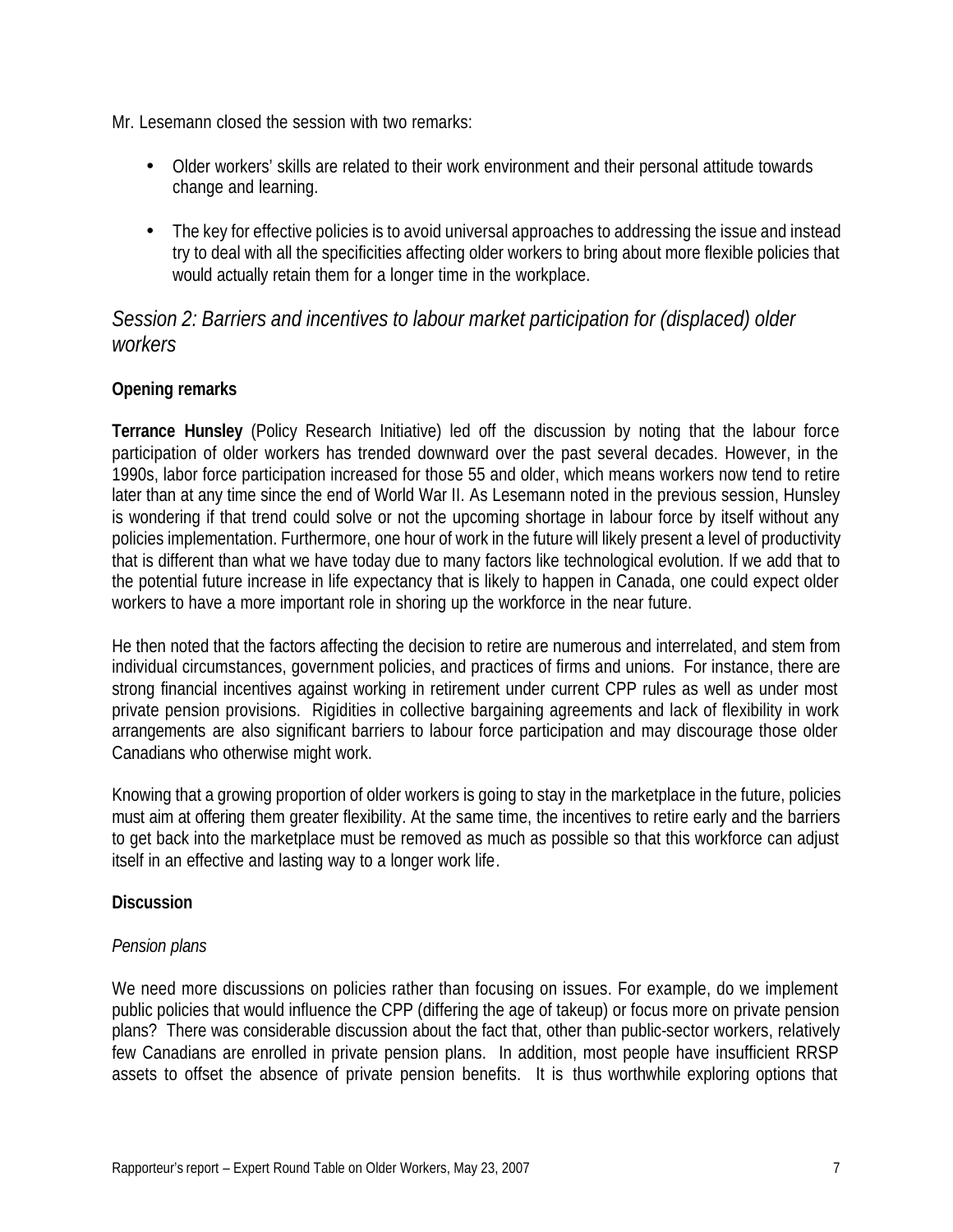Mr. Lesemann closed the session with two remarks:

- Older workers' skills are related to their work environment and their personal attitude towards change and learning.
- The key for effective policies is to avoid universal approaches to addressing the issue and instead try to deal with all the specificities affecting older workers to bring about more flexible policies that would actually retain them for a longer time in the workplace.

## *Session 2: Barriers and incentives to labour market participation for (displaced) older workers*

#### **Opening remarks**

**Terrance Hunsley** (Policy Research Initiative) led off the discussion by noting that the labour force participation of older workers has trended downward over the past several decades. However, in the 1990s, labor force participation increased for those 55 and older, which means workers now tend to retire later than at any time since the end of World War II. As Lesemann noted in the previous session, Hunsley is wondering if that trend could solve or not the upcoming shortage in labour force by itself without any policies implementation. Furthermore, one hour of work in the future will likely present a level of productivity that is different than what we have today due to many factors like technological evolution. If we add that to the potential future increase in life expectancy that is likely to happen in Canada, one could expect older workers to have a more important role in shoring up the workforce in the near future.

He then noted that the factors affecting the decision to retire are numerous and interrelated, and stem from individual circumstances, government policies, and practices of firms and unions. For instance, there are strong financial incentives against working in retirement under current CPP rules as well as under most private pension provisions. Rigidities in collective bargaining agreements and lack of flexibility in work arrangements are also significant barriers to labour force participation and may discourage those older Canadians who otherwise might work.

Knowing that a growing proportion of older workers is going to stay in the marketplace in the future, policies must aim at offering them greater flexibility. At the same time, the incentives to retire early and the barriers to get back into the marketplace must be removed as much as possible so that this workforce can adjust itself in an effective and lasting way to a longer work life.

#### **Discussion**

#### *Pension plans*

We need more discussions on policies rather than focusing on issues. For example, do we implement public policies that would influence the CPP (differing the age of takeup) or focus more on private pension plans? There was considerable discussion about the fact that, other than public-sector workers, relatively few Canadians are enrolled in private pension plans. In addition, most people have insufficient RRSP assets to offset the absence of private pension benefits. It is thus worthwhile exploring options that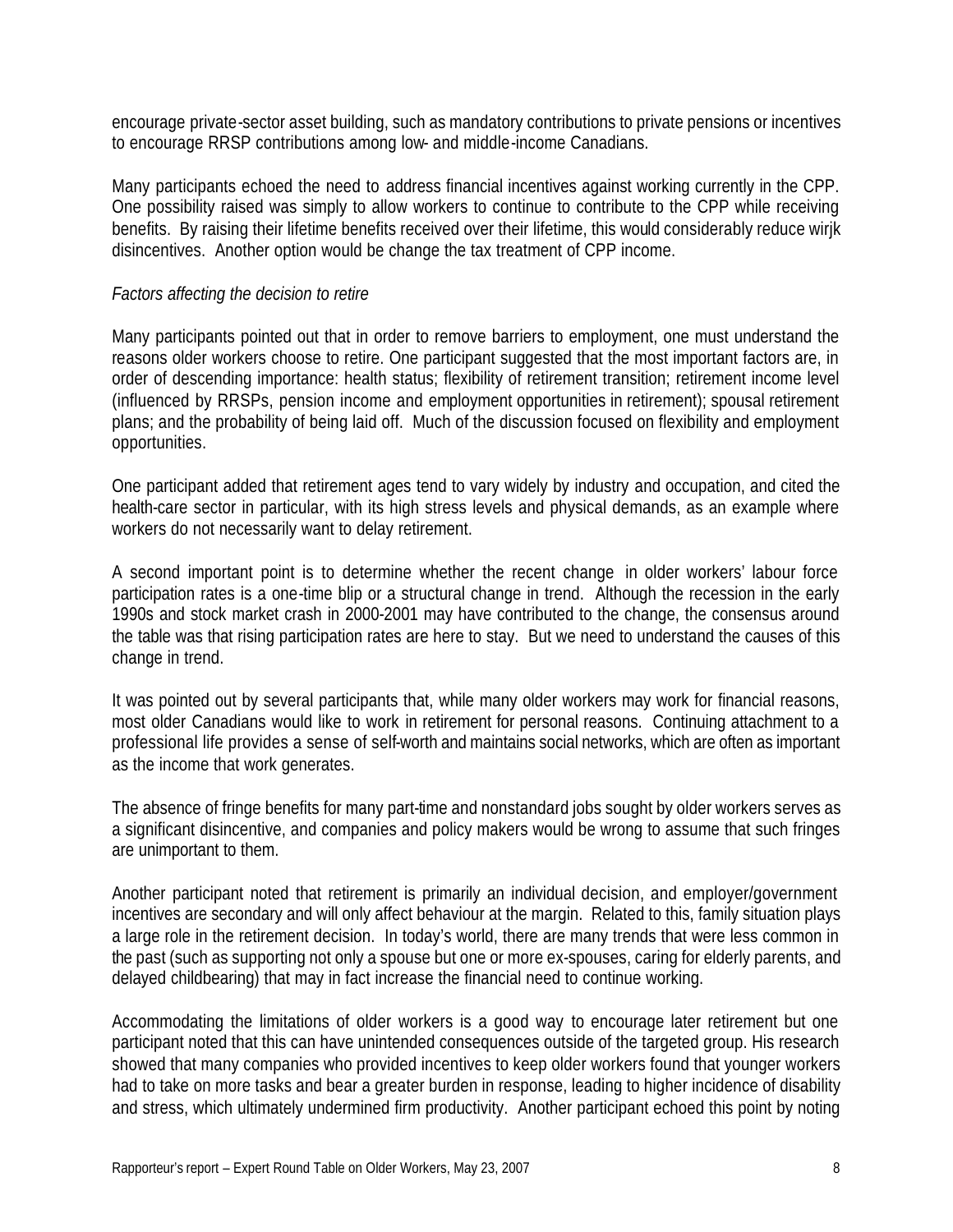encourage private-sector asset building, such as mandatory contributions to private pensions or incentives to encourage RRSP contributions among low- and middle-income Canadians.

Many participants echoed the need to address financial incentives against working currently in the CPP. One possibility raised was simply to allow workers to continue to contribute to the CPP while receiving benefits. By raising their lifetime benefits received over their lifetime, this would considerably reduce wirjk disincentives. Another option would be change the tax treatment of CPP income.

#### *Factors affecting the decision to retire*

Many participants pointed out that in order to remove barriers to employment, one must understand the reasons older workers choose to retire. One participant suggested that the most important factors are, in order of descending importance: health status; flexibility of retirement transition; retirement income level (influenced by RRSPs, pension income and employment opportunities in retirement); spousal retirement plans; and the probability of being laid off. Much of the discussion focused on flexibility and employment opportunities.

One participant added that retirement ages tend to vary widely by industry and occupation, and cited the health-care sector in particular, with its high stress levels and physical demands, as an example where workers do not necessarily want to delay retirement.

A second important point is to determine whether the recent change in older workers' labour force participation rates is a one-time blip or a structural change in trend. Although the recession in the early 1990s and stock market crash in 2000-2001 may have contributed to the change, the consensus around the table was that rising participation rates are here to stay. But we need to understand the causes of this change in trend.

It was pointed out by several participants that, while many older workers may work for financial reasons, most older Canadians would like to work in retirement for personal reasons. Continuing attachment to a professional life provides a sense of self-worth and maintains social networks, which are often as important as the income that work generates.

The absence of fringe benefits for many part-time and nonstandard jobs sought by older workers serves as a significant disincentive, and companies and policy makers would be wrong to assume that such fringes are unimportant to them.

Another participant noted that retirement is primarily an individual decision, and employer/government incentives are secondary and will only affect behaviour at the margin. Related to this, family situation plays a large role in the retirement decision. In today's world, there are many trends that were less common in the past (such as supporting not only a spouse but one or more ex-spouses, caring for elderly parents, and delayed childbearing) that may in fact increase the financial need to continue working.

Accommodating the limitations of older workers is a good way to encourage later retirement but one participant noted that this can have unintended consequences outside of the targeted group. His research showed that many companies who provided incentives to keep older workers found that younger workers had to take on more tasks and bear a greater burden in response, leading to higher incidence of disability and stress, which ultimately undermined firm productivity. Another participant echoed this point by noting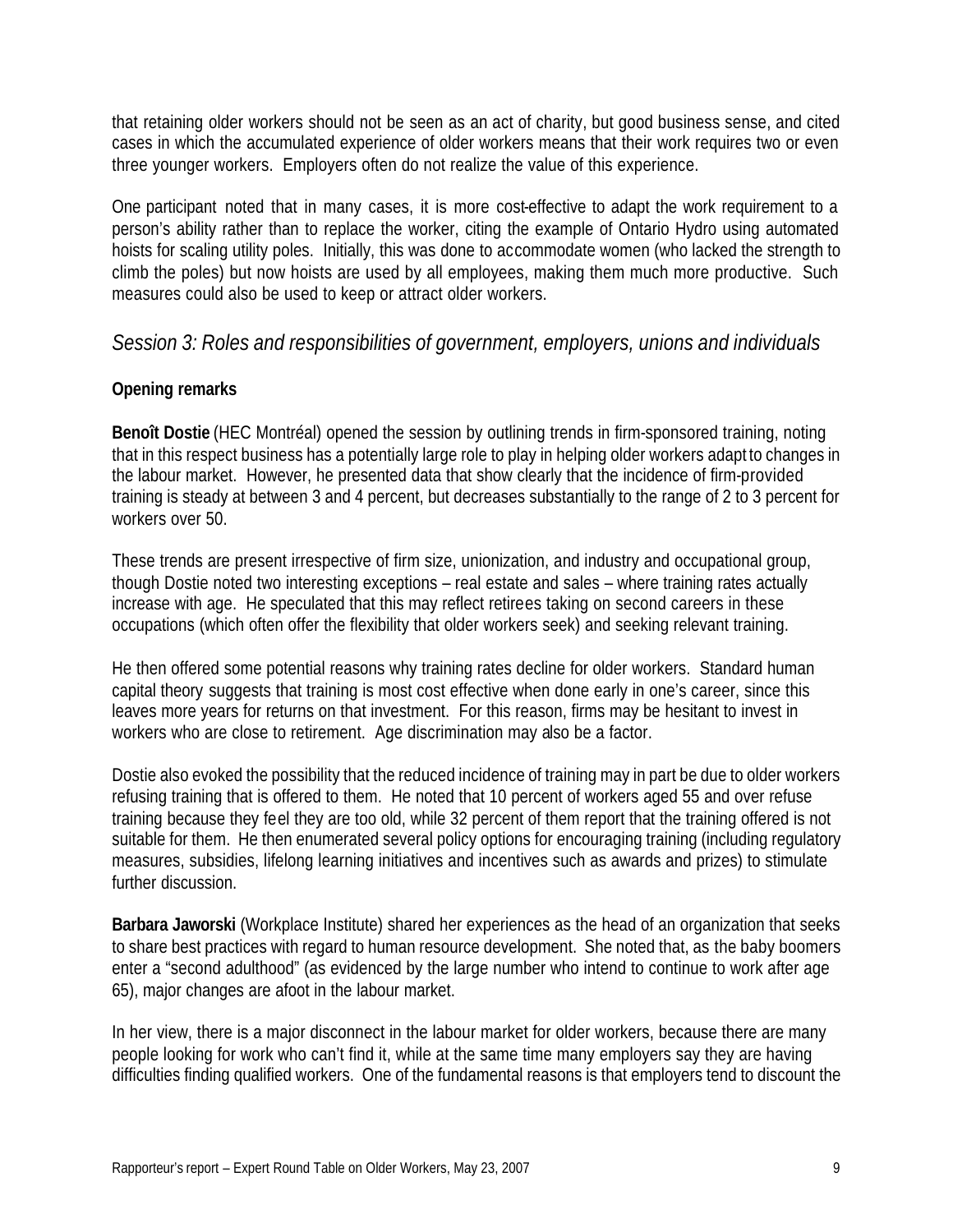that retaining older workers should not be seen as an act of charity, but good business sense, and cited cases in which the accumulated experience of older workers means that their work requires two or even three younger workers. Employers often do not realize the value of this experience.

One participant noted that in many cases, it is more cost-effective to adapt the work requirement to a person's ability rather than to replace the worker, citing the example of Ontario Hydro using automated hoists for scaling utility poles. Initially, this was done to accommodate women (who lacked the strength to climb the poles) but now hoists are used by all employees, making them much more productive. Such measures could also be used to keep or attract older workers.

### *Session 3: Roles and responsibilities of government, employers, unions and individuals*

#### **Opening remarks**

**Benoît Dostie** (HEC Montréal) opened the session by outlining trends in firm-sponsored training, noting that in this respect business has a potentially large role to play in helping older workers adapt to changes in the labour market. However, he presented data that show clearly that the incidence of firm-provided training is steady at between 3 and 4 percent, but decreases substantially to the range of 2 to 3 percent for workers over 50.

These trends are present irrespective of firm size, unionization, and industry and occupational group, though Dostie noted two interesting exceptions – real estate and sales – where training rates actually increase with age. He speculated that this may reflect retirees taking on second careers in these occupations (which often offer the flexibility that older workers seek) and seeking relevant training.

He then offered some potential reasons why training rates decline for older workers. Standard human capital theory suggests that training is most cost effective when done early in one's career, since this leaves more years for returns on that investment. For this reason, firms may be hesitant to invest in workers who are close to retirement. Age discrimination may also be a factor.

Dostie also evoked the possibility that the reduced incidence of training may in part be due to older workers refusing training that is offered to them. He noted that 10 percent of workers aged 55 and over refuse training because they feel they are too old, while 32 percent of them report that the training offered is not suitable for them. He then enumerated several policy options for encouraging training (including regulatory measures, subsidies, lifelong learning initiatives and incentives such as awards and prizes) to stimulate further discussion.

**Barbara Jaworski** (Workplace Institute) shared her experiences as the head of an organization that seeks to share best practices with regard to human resource development. She noted that, as the baby boomers enter a "second adulthood" (as evidenced by the large number who intend to continue to work after age 65), major changes are afoot in the labour market.

In her view, there is a major disconnect in the labour market for older workers, because there are many people looking for work who can't find it, while at the same time many employers say they are having difficulties finding qualified workers. One of the fundamental reasons is that employers tend to discount the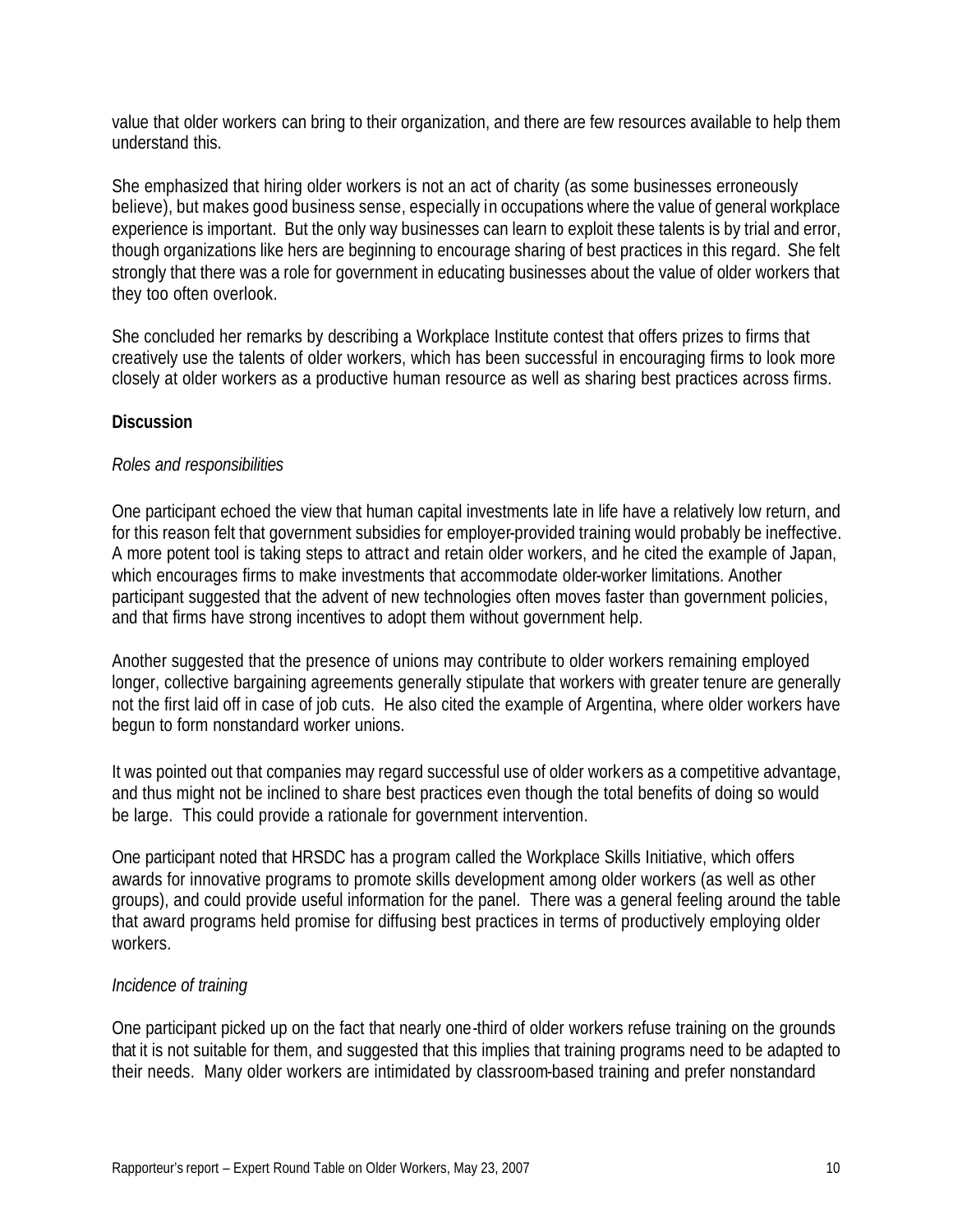value that older workers can bring to their organization, and there are few resources available to help them understand this.

She emphasized that hiring older workers is not an act of charity (as some businesses erroneously believe), but makes good business sense, especially in occupations where the value of general workplace experience is important. But the only way businesses can learn to exploit these talents is by trial and error, though organizations like hers are beginning to encourage sharing of best practices in this regard. She felt strongly that there was a role for government in educating businesses about the value of older workers that they too often overlook.

She concluded her remarks by describing a Workplace Institute contest that offers prizes to firms that creatively use the talents of older workers, which has been successful in encouraging firms to look more closely at older workers as a productive human resource as well as sharing best practices across firms.

#### **Discussion**

#### *Roles and responsibilities*

One participant echoed the view that human capital investments late in life have a relatively low return, and for this reason felt that government subsidies for employer-provided training would probably be ineffective. A more potent tool is taking steps to attract and retain older workers, and he cited the example of Japan, which encourages firms to make investments that accommodate older-worker limitations. Another participant suggested that the advent of new technologies often moves faster than government policies, and that firms have strong incentives to adopt them without government help.

Another suggested that the presence of unions may contribute to older workers remaining employed longer, collective bargaining agreements generally stipulate that workers with greater tenure are generally not the first laid off in case of job cuts. He also cited the example of Argentina, where older workers have begun to form nonstandard worker unions.

It was pointed out that companies may regard successful use of older workers as a competitive advantage, and thus might not be inclined to share best practices even though the total benefits of doing so would be large. This could provide a rationale for government intervention.

One participant noted that HRSDC has a program called the Workplace Skills Initiative, which offers awards for innovative programs to promote skills development among older workers (as well as other groups), and could provide useful information for the panel. There was a general feeling around the table that award programs held promise for diffusing best practices in terms of productively employing older workers.

#### *Incidence of training*

One participant picked up on the fact that nearly one-third of older workers refuse training on the grounds that it is not suitable for them, and suggested that this implies that training programs need to be adapted to their needs. Many older workers are intimidated by classroom-based training and prefer nonstandard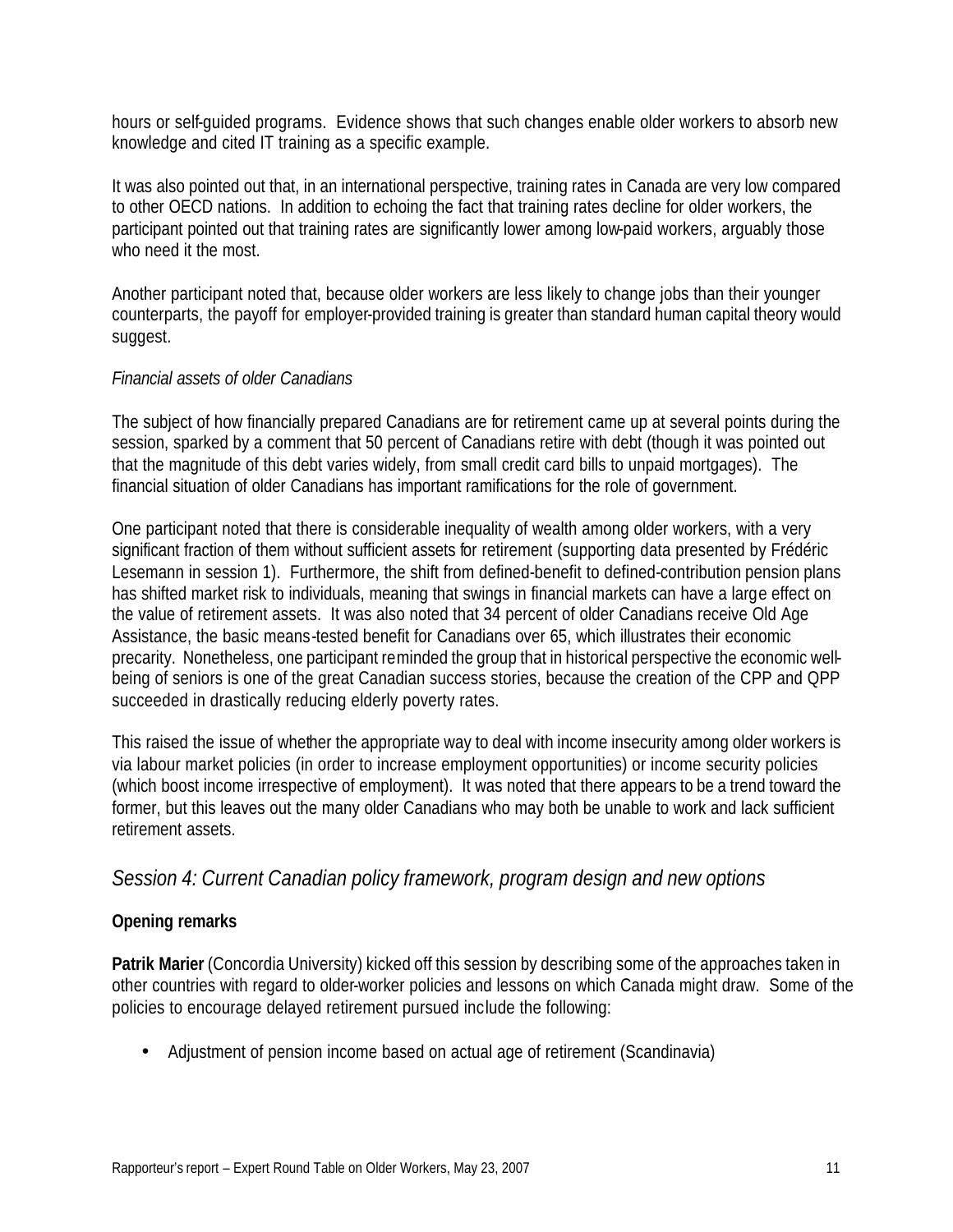hours or self-guided programs. Evidence shows that such changes enable older workers to absorb new knowledge and cited IT training as a specific example.

It was also pointed out that, in an international perspective, training rates in Canada are very low compared to other OECD nations. In addition to echoing the fact that training rates decline for older workers, the participant pointed out that training rates are significantly lower among low-paid workers, arguably those who need it the most.

Another participant noted that, because older workers are less likely to change jobs than their younger counterparts, the payoff for employer-provided training is greater than standard human capital theory would suggest.

#### *Financial assets of older Canadians*

The subject of how financially prepared Canadians are for retirement came up at several points during the session, sparked by a comment that 50 percent of Canadians retire with debt (though it was pointed out that the magnitude of this debt varies widely, from small credit card bills to unpaid mortgages). The financial situation of older Canadians has important ramifications for the role of government.

One participant noted that there is considerable inequality of wealth among older workers, with a very significant fraction of them without sufficient assets for retirement (supporting data presented by Frédéric Lesemann in session 1). Furthermore, the shift from defined-benefit to defined-contribution pension plans has shifted market risk to individuals, meaning that swings in financial markets can have a large effect on the value of retirement assets. It was also noted that 34 percent of older Canadians receive Old Age Assistance, the basic means-tested benefit for Canadians over 65, which illustrates their economic precarity. Nonetheless, one participant reminded the group that in historical perspective the economic wellbeing of seniors is one of the great Canadian success stories, because the creation of the CPP and QPP succeeded in drastically reducing elderly poverty rates.

This raised the issue of whether the appropriate way to deal with income insecurity among older workers is via labour market policies (in order to increase employment opportunities) or income security policies (which boost income irrespective of employment). It was noted that there appears to be a trend toward the former, but this leaves out the many older Canadians who may both be unable to work and lack sufficient retirement assets.

### *Session 4: Current Canadian policy framework, program design and new options*

#### **Opening remarks**

**Patrik Marier** (Concordia University) kicked off this session by describing some of the approaches taken in other countries with regard to older-worker policies and lessons on which Canada might draw. Some of the policies to encourage delayed retirement pursued include the following:

• Adjustment of pension income based on actual age of retirement (Scandinavia)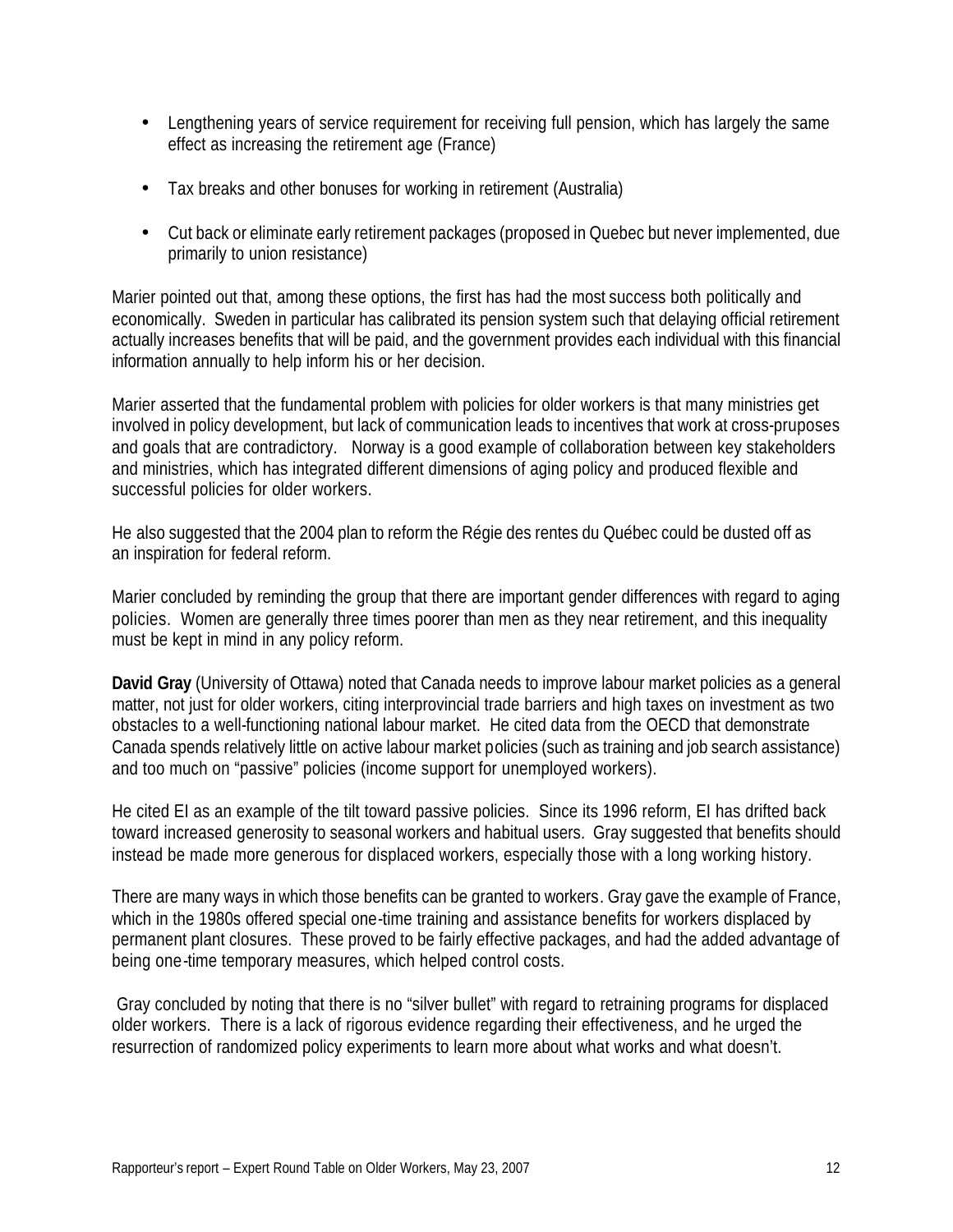- Lengthening years of service requirement for receiving full pension, which has largely the same effect as increasing the retirement age (France)
- Tax breaks and other bonuses for working in retirement (Australia)
- Cut back or eliminate early retirement packages (proposed in Quebec but never implemented, due primarily to union resistance)

Marier pointed out that, among these options, the first has had the most success both politically and economically. Sweden in particular has calibrated its pension system such that delaying official retirement actually increases benefits that will be paid, and the government provides each individual with this financial information annually to help inform his or her decision.

Marier asserted that the fundamental problem with policies for older workers is that many ministries get involved in policy development, but lack of communication leads to incentives that work at cross-pruposes and goals that are contradictory. Norway is a good example of collaboration between key stakeholders and ministries, which has integrated different dimensions of aging policy and produced flexible and successful policies for older workers.

He also suggested that the 2004 plan to reform the Régie des rentes du Québec could be dusted off as an inspiration for federal reform.

Marier concluded by reminding the group that there are important gender differences with regard to aging policies. Women are generally three times poorer than men as they near retirement, and this inequality must be kept in mind in any policy reform.

**David Gray** (University of Ottawa) noted that Canada needs to improve labour market policies as a general matter, not just for older workers, citing interprovincial trade barriers and high taxes on investment as two obstacles to a well-functioning national labour market. He cited data from the OECD that demonstrate Canada spends relatively little on active labour market policies (such as training and job search assistance) and too much on "passive" policies (income support for unemployed workers).

He cited EI as an example of the tilt toward passive policies. Since its 1996 reform, EI has drifted back toward increased generosity to seasonal workers and habitual users. Gray suggested that benefits should instead be made more generous for displaced workers, especially those with a long working history.

There are many ways in which those benefits can be granted to workers. Gray gave the example of France, which in the 1980s offered special one-time training and assistance benefits for workers displaced by permanent plant closures. These proved to be fairly effective packages, and had the added advantage of being one-time temporary measures, which helped control costs.

 Gray concluded by noting that there is no "silver bullet" with regard to retraining programs for displaced older workers. There is a lack of rigorous evidence regarding their effectiveness, and he urged the resurrection of randomized policy experiments to learn more about what works and what doesn't.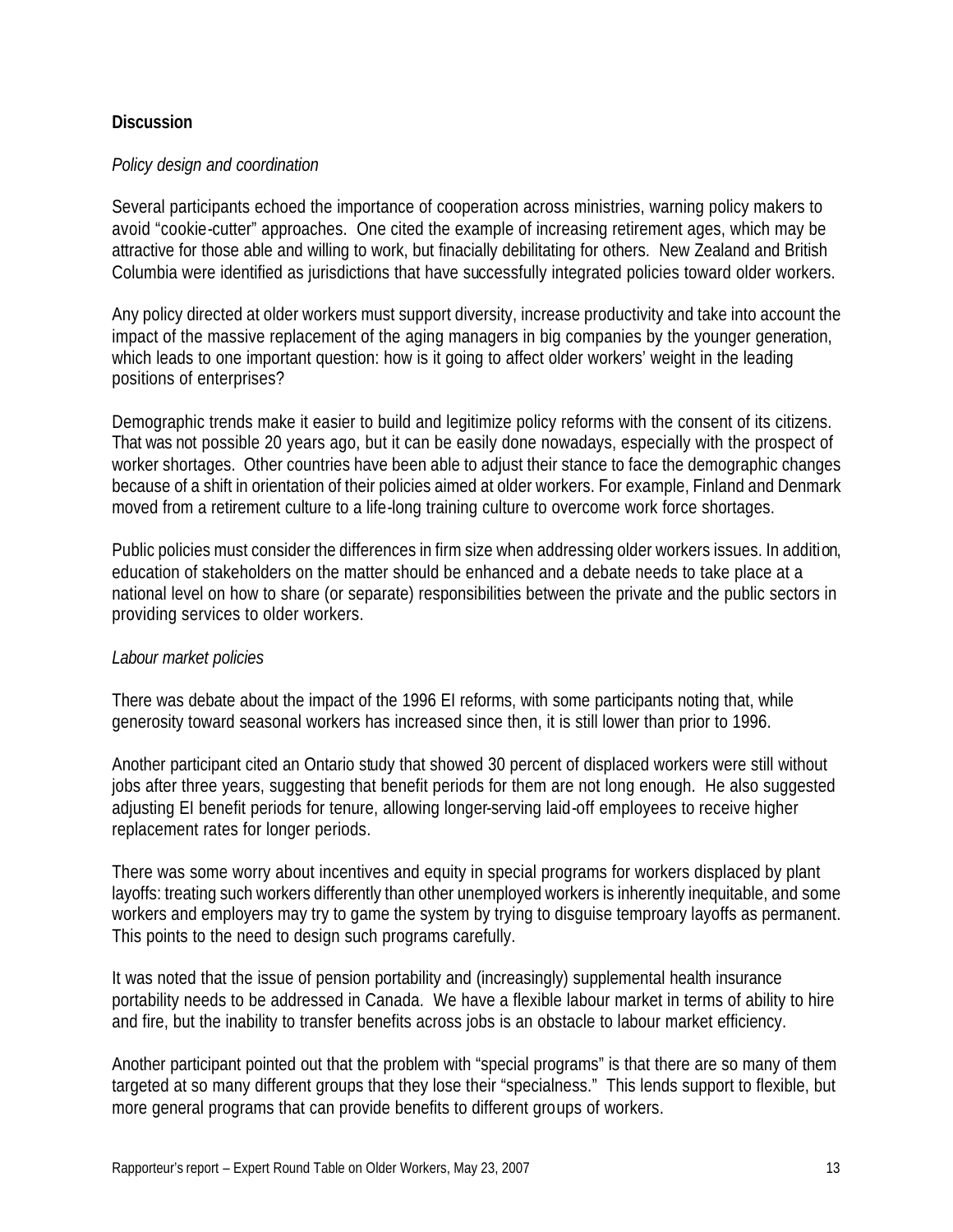#### **Discussion**

#### *Policy design and coordination*

Several participants echoed the importance of cooperation across ministries, warning policy makers to avoid "cookie-cutter" approaches. One cited the example of increasing retirement ages, which may be attractive for those able and willing to work, but finacially debilitating for others. New Zealand and British Columbia were identified as jurisdictions that have successfully integrated policies toward older workers.

Any policy directed at older workers must support diversity, increase productivity and take into account the impact of the massive replacement of the aging managers in big companies by the younger generation, which leads to one important question: how is it going to affect older workers' weight in the leading positions of enterprises?

Demographic trends make it easier to build and legitimize policy reforms with the consent of its citizens. That was not possible 20 years ago, but it can be easily done nowadays, especially with the prospect of worker shortages. Other countries have been able to adjust their stance to face the demographic changes because of a shift in orientation of their policies aimed at older workers. For example, Finland and Denmark moved from a retirement culture to a life-long training culture to overcome work force shortages.

Public policies must consider the differences in firm size when addressing older workers issues. In addition, education of stakeholders on the matter should be enhanced and a debate needs to take place at a national level on how to share (or separate) responsibilities between the private and the public sectors in providing services to older workers.

#### *Labour market policies*

There was debate about the impact of the 1996 EI reforms, with some participants noting that, while generosity toward seasonal workers has increased since then, it is still lower than prior to 1996.

Another participant cited an Ontario study that showed 30 percent of displaced workers were still without jobs after three years, suggesting that benefit periods for them are not long enough. He also suggested adjusting EI benefit periods for tenure, allowing longer-serving laid-off employees to receive higher replacement rates for longer periods.

There was some worry about incentives and equity in special programs for workers displaced by plant layoffs: treating such workers differently than other unemployed workers is inherently inequitable, and some workers and employers may try to game the system by trying to disguise temproary layoffs as permanent. This points to the need to design such programs carefully.

It was noted that the issue of pension portability and (increasingly) supplemental health insurance portability needs to be addressed in Canada. We have a flexible labour market in terms of ability to hire and fire, but the inability to transfer benefits across jobs is an obstacle to labour market efficiency.

Another participant pointed out that the problem with "special programs" is that there are so many of them targeted at so many different groups that they lose their "specialness." This lends support to flexible, but more general programs that can provide benefits to different groups of workers.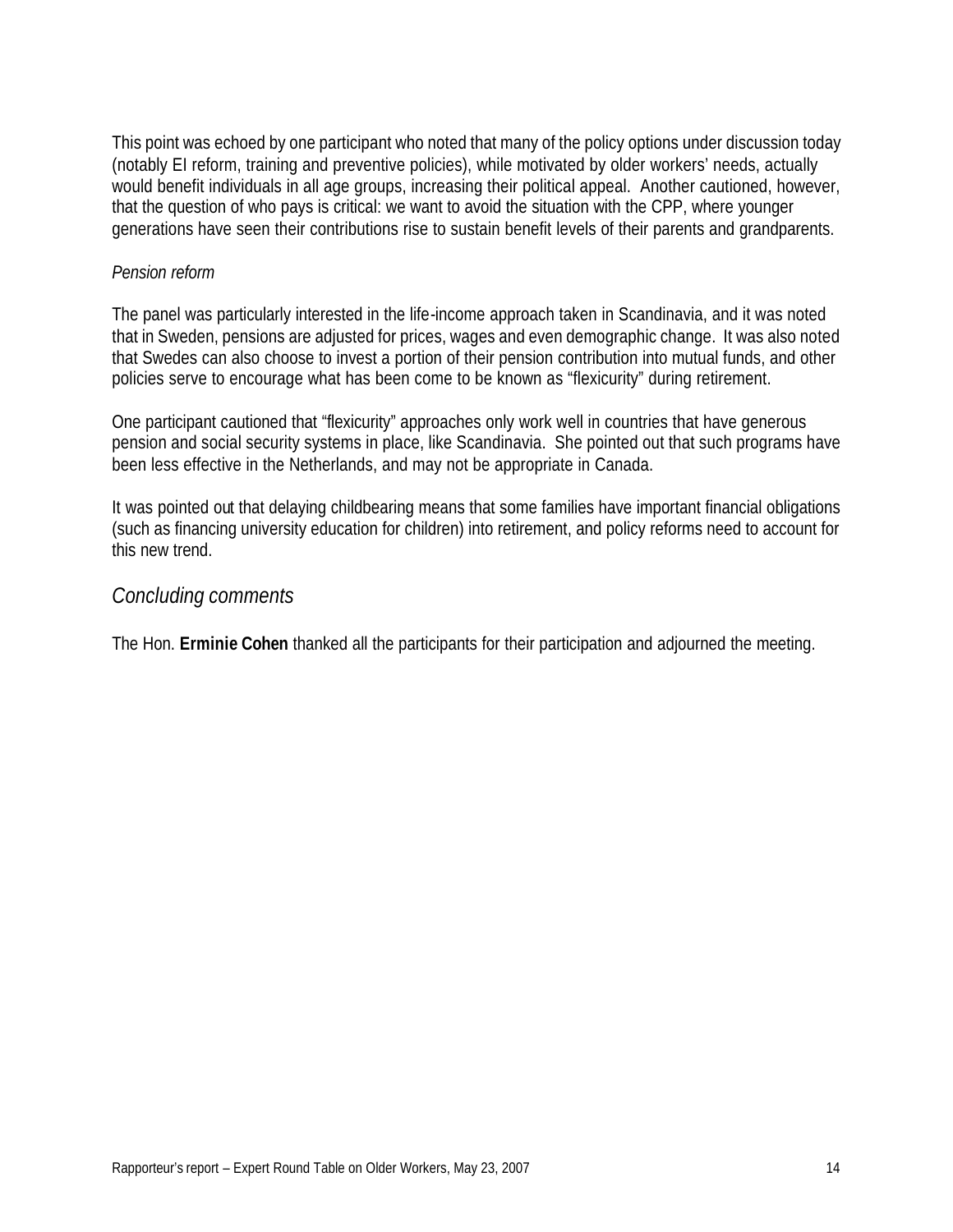This point was echoed by one participant who noted that many of the policy options under discussion today (notably EI reform, training and preventive policies), while motivated by older workers' needs, actually would benefit individuals in all age groups, increasing their political appeal. Another cautioned, however, that the question of who pays is critical: we want to avoid the situation with the CPP, where younger generations have seen their contributions rise to sustain benefit levels of their parents and grandparents.

#### *Pension reform*

The panel was particularly interested in the life-income approach taken in Scandinavia, and it was noted that in Sweden, pensions are adjusted for prices, wages and even demographic change. It was also noted that Swedes can also choose to invest a portion of their pension contribution into mutual funds, and other policies serve to encourage what has been come to be known as "flexicurity" during retirement.

One participant cautioned that "flexicurity" approaches only work well in countries that have generous pension and social security systems in place, like Scandinavia. She pointed out that such programs have been less effective in the Netherlands, and may not be appropriate in Canada.

It was pointed out that delaying childbearing means that some families have important financial obligations (such as financing university education for children) into retirement, and policy reforms need to account for this new trend.

#### *Concluding comments*

The Hon. **Erminie Cohen** thanked all the participants for their participation and adjourned the meeting.